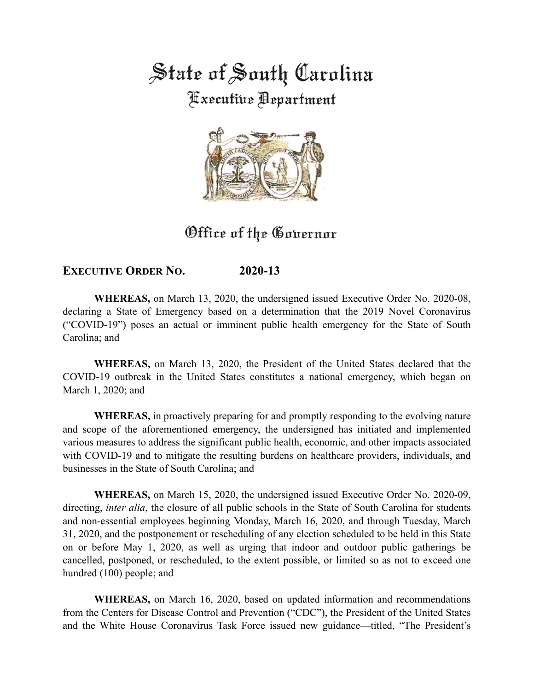State of South Carolina

**Executive Department** 



# Office of the Governor

# **EXECUTIVE ORDER NO. 2020-13**

**WHEREAS,** on March 13, 2020, the undersigned issued Executive Order No. 2020-08, declaring a State of Emergency based on a determination that the 2019 Novel Coronavirus ("COVID-19") poses an actual or imminent public health emergency for the State of South Carolina; and

**WHEREAS,** on March 13, 2020, the President of the United States declared that the COVID-19 outbreak in the United States constitutes a national emergency, which began on March 1, 2020; and

**WHEREAS,** in proactively preparing for and promptly responding to the evolving nature and scope of the aforementioned emergency, the undersigned has initiated and implemented various measures to address the significant public health, economic, and other impacts associated with COVID-19 and to mitigate the resulting burdens on healthcare providers, individuals, and businesses in the State of South Carolina; and

**WHEREAS,** on March 15, 2020, the undersigned issued Executive Order No. 2020-09, directing, *inter alia*, the closure of all public schools in the State of South Carolina for students and non-essential employees beginning Monday, March 16, 2020, and through Tuesday, March 31, 2020, and the postponement or rescheduling of any election scheduled to be held in this State on or before May 1, 2020, as well as urging that indoor and outdoor public gatherings be cancelled, postponed, or rescheduled, to the extent possible, or limited so as not to exceed one hundred (100) people; and

**WHEREAS,** on March 16, 2020, based on updated information and recommendations from the Centers for Disease Control and Prevention ("CDC"), the President of the United States and the White House Coronavirus Task Force issued new guidance—titled, "The President's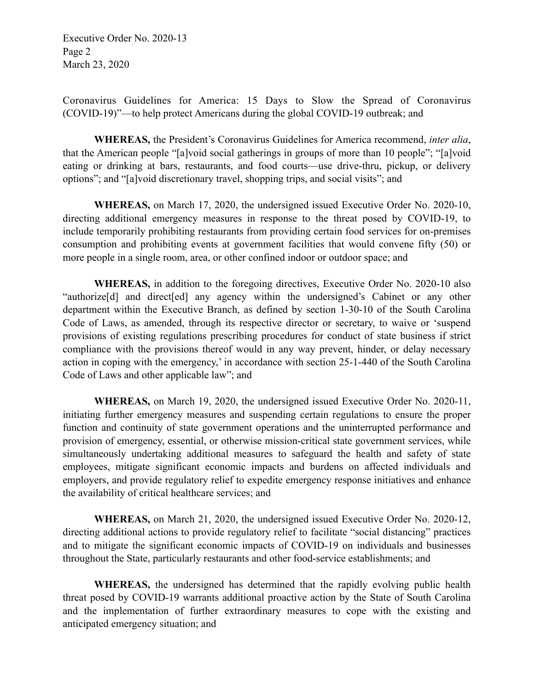Executive Order No. 2020-13 Page 2 March 23, 2020

Coronavirus Guidelines for America: 15 Days to Slow the Spread of Coronavirus (COVID-19)"—to help protect Americans during the global COVID-19 outbreak; and

**WHEREAS,** the President's Coronavirus Guidelines for America recommend, *inter alia*, that the American people "[a]void social gatherings in groups of more than 10 people"; "[a]void eating or drinking at bars, restaurants, and food courts—use drive-thru, pickup, or delivery options"; and "[a]void discretionary travel, shopping trips, and social visits"; and

**WHEREAS,** on March 17, 2020, the undersigned issued Executive Order No. 2020-10, directing additional emergency measures in response to the threat posed by COVID-19, to include temporarily prohibiting restaurants from providing certain food services for on-premises consumption and prohibiting events at government facilities that would convene fifty (50) or more people in a single room, area, or other confined indoor or outdoor space; and

**WHEREAS,** in addition to the foregoing directives, Executive Order No. 2020-10 also "authorize[d] and direct[ed] any agency within the undersigned's Cabinet or any other department within the Executive Branch, as defined by section 1-30-10 of the South Carolina Code of Laws, as amended, through its respective director or secretary, to waive or 'suspend provisions of existing regulations prescribing procedures for conduct of state business if strict compliance with the provisions thereof would in any way prevent, hinder, or delay necessary action in coping with the emergency,' in accordance with section 25-1-440 of the South Carolina Code of Laws and other applicable law"; and

**WHEREAS,** on March 19, 2020, the undersigned issued Executive Order No. 2020-11, initiating further emergency measures and suspending certain regulations to ensure the proper function and continuity of state government operations and the uninterrupted performance and provision of emergency, essential, or otherwise mission-critical state government services, while simultaneously undertaking additional measures to safeguard the health and safety of state employees, mitigate significant economic impacts and burdens on affected individuals and employers, and provide regulatory relief to expedite emergency response initiatives and enhance the availability of critical healthcare services; and

**WHEREAS,** on March 21, 2020, the undersigned issued Executive Order No. 2020-12, directing additional actions to provide regulatory relief to facilitate "social distancing" practices and to mitigate the significant economic impacts of COVID-19 on individuals and businesses throughout the State, particularly restaurants and other food-service establishments; and

**WHEREAS,** the undersigned has determined that the rapidly evolving public health threat posed by COVID-19 warrants additional proactive action by the State of South Carolina and the implementation of further extraordinary measures to cope with the existing and anticipated emergency situation; and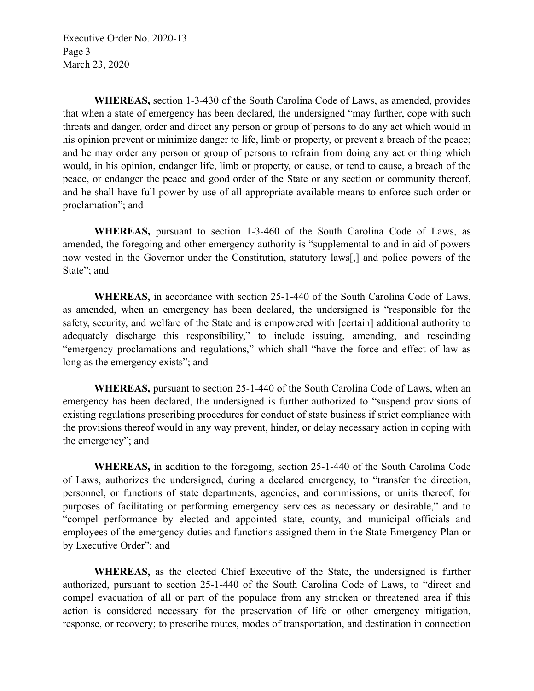Executive Order No. 2020-13 Page 3 March 23, 2020

**WHEREAS,** section 1-3-430 of the South Carolina Code of Laws, as amended, provides that when a state of emergency has been declared, the undersigned "may further, cope with such threats and danger, order and direct any person or group of persons to do any act which would in his opinion prevent or minimize danger to life, limb or property, or prevent a breach of the peace; and he may order any person or group of persons to refrain from doing any act or thing which would, in his opinion, endanger life, limb or property, or cause, or tend to cause, a breach of the peace, or endanger the peace and good order of the State or any section or community thereof, and he shall have full power by use of all appropriate available means to enforce such order or proclamation"; and

**WHEREAS,** pursuant to section 1-3-460 of the South Carolina Code of Laws, as amended, the foregoing and other emergency authority is "supplemental to and in aid of powers now vested in the Governor under the Constitution, statutory laws[,] and police powers of the State"; and

**WHEREAS,** in accordance with section 25-1-440 of the South Carolina Code of Laws, as amended, when an emergency has been declared, the undersigned is "responsible for the safety, security, and welfare of the State and is empowered with [certain] additional authority to adequately discharge this responsibility," to include issuing, amending, and rescinding "emergency proclamations and regulations," which shall "have the force and effect of law as long as the emergency exists"; and

**WHEREAS,** pursuant to section 25-1-440 of the South Carolina Code of Laws, when an emergency has been declared, the undersigned is further authorized to "suspend provisions of existing regulations prescribing procedures for conduct of state business if strict compliance with the provisions thereof would in any way prevent, hinder, or delay necessary action in coping with the emergency"; and

**WHEREAS,** in addition to the foregoing, section 25-1-440 of the South Carolina Code of Laws, authorizes the undersigned, during a declared emergency, to "transfer the direction, personnel, or functions of state departments, agencies, and commissions, or units thereof, for purposes of facilitating or performing emergency services as necessary or desirable," and to "compel performance by elected and appointed state, county, and municipal officials and employees of the emergency duties and functions assigned them in the State Emergency Plan or by Executive Order"; and

**WHEREAS,** as the elected Chief Executive of the State, the undersigned is further authorized, pursuant to section 25-1-440 of the South Carolina Code of Laws, to "direct and compel evacuation of all or part of the populace from any stricken or threatened area if this action is considered necessary for the preservation of life or other emergency mitigation, response, or recovery; to prescribe routes, modes of transportation, and destination in connection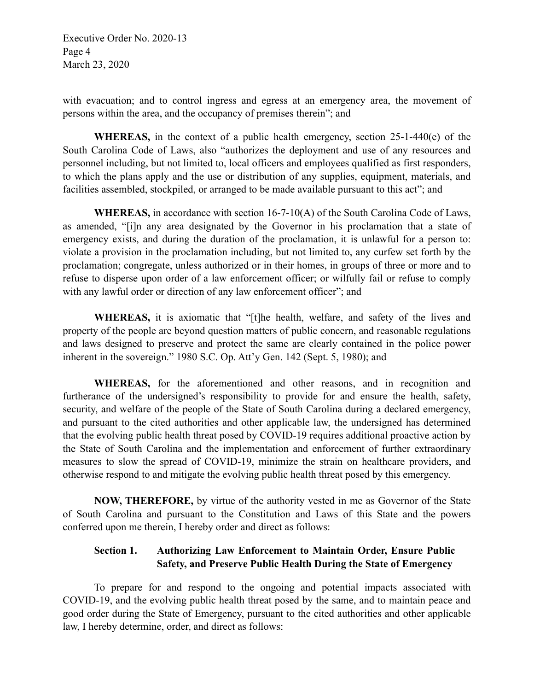Executive Order No. 2020-13 Page 4 March 23, 2020

with evacuation; and to control ingress and egress at an emergency area, the movement of persons within the area, and the occupancy of premises therein"; and

**WHEREAS,** in the context of a public health emergency, section 25-1-440(e) of the South Carolina Code of Laws, also "authorizes the deployment and use of any resources and personnel including, but not limited to, local officers and employees qualified as first responders, to which the plans apply and the use or distribution of any supplies, equipment, materials, and facilities assembled, stockpiled, or arranged to be made available pursuant to this act"; and

**WHEREAS,** in accordance with section 16-7-10(A) of the South Carolina Code of Laws, as amended, "[i]n any area designated by the Governor in his proclamation that a state of emergency exists, and during the duration of the proclamation, it is unlawful for a person to: violate a provision in the proclamation including, but not limited to, any curfew set forth by the proclamation; congregate, unless authorized or in their homes, in groups of three or more and to refuse to disperse upon order of a law enforcement officer; or wilfully fail or refuse to comply with any lawful order or direction of any law enforcement officer"; and

**WHEREAS,** it is axiomatic that "[t]he health, welfare, and safety of the lives and property of the people are beyond question matters of public concern, and reasonable regulations and laws designed to preserve and protect the same are clearly contained in the police power inherent in the sovereign." 1980 S.C. Op. Att'y Gen. 142 (Sept. 5, 1980); and

**WHEREAS,** for the aforementioned and other reasons, and in recognition and furtherance of the undersigned's responsibility to provide for and ensure the health, safety, security, and welfare of the people of the State of South Carolina during a declared emergency, and pursuant to the cited authorities and other applicable law, the undersigned has determined that the evolving public health threat posed by COVID-19 requires additional proactive action by the State of South Carolina and the implementation and enforcement of further extraordinary measures to slow the spread of COVID-19, minimize the strain on healthcare providers, and otherwise respond to and mitigate the evolving public health threat posed by this emergency.

**NOW, THEREFORE,** by virtue of the authority vested in me as Governor of the State of South Carolina and pursuant to the Constitution and Laws of this State and the powers conferred upon me therein, I hereby order and direct as follows:

# **Section 1. Authorizing Law Enforcement to Maintain Order, Ensure Public Safety, and Preserve Public Health During the State of Emergency**

To prepare for and respond to the ongoing and potential impacts associated with COVID-19, and the evolving public health threat posed by the same, and to maintain peace and good order during the State of Emergency, pursuant to the cited authorities and other applicable law, I hereby determine, order, and direct as follows: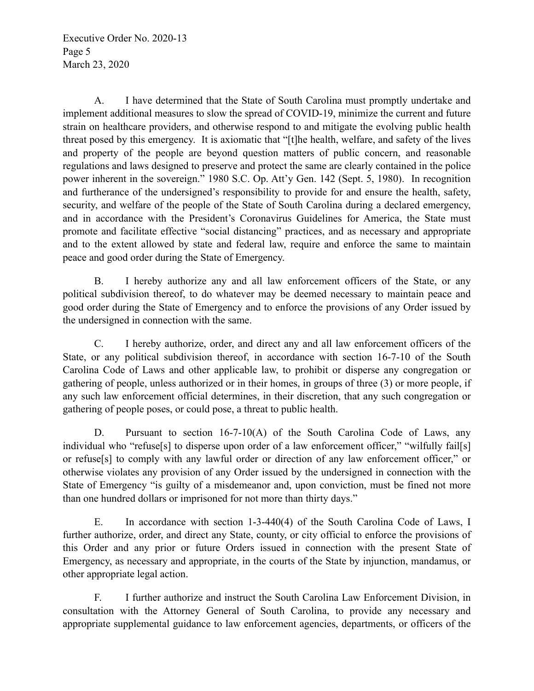Executive Order No. 2020-13 Page 5 March 23, 2020

A. I have determined that the State of South Carolina must promptly undertake and implement additional measures to slow the spread of COVID-19, minimize the current and future strain on healthcare providers, and otherwise respond to and mitigate the evolving public health threat posed by this emergency. It is axiomatic that "[t]he health, welfare, and safety of the lives and property of the people are beyond question matters of public concern, and reasonable regulations and laws designed to preserve and protect the same are clearly contained in the police power inherent in the sovereign." 1980 S.C. Op. Att'y Gen. 142 (Sept. 5, 1980). In recognition and furtherance of the undersigned's responsibility to provide for and ensure the health, safety, security, and welfare of the people of the State of South Carolina during a declared emergency, and in accordance with the President's Coronavirus Guidelines for America, the State must promote and facilitate effective "social distancing" practices, and as necessary and appropriate and to the extent allowed by state and federal law, require and enforce the same to maintain peace and good order during the State of Emergency.

B. I hereby authorize any and all law enforcement officers of the State, or any political subdivision thereof, to do whatever may be deemed necessary to maintain peace and good order during the State of Emergency and to enforce the provisions of any Order issued by the undersigned in connection with the same.

C. I hereby authorize, order, and direct any and all law enforcement officers of the State, or any political subdivision thereof, in accordance with section 16-7-10 of the South Carolina Code of Laws and other applicable law, to prohibit or disperse any congregation or gathering of people, unless authorized or in their homes, in groups of three (3) or more people, if any such law enforcement official determines, in their discretion, that any such congregation or gathering of people poses, or could pose, a threat to public health.

D. Pursuant to section 16-7-10(A) of the South Carolina Code of Laws, any individual who "refuse[s] to disperse upon order of a law enforcement officer," "wilfully fail[s] or refuse[s] to comply with any lawful order or direction of any law enforcement officer," or otherwise violates any provision of any Order issued by the undersigned in connection with the State of Emergency "is guilty of a misdemeanor and, upon conviction, must be fined not more than one hundred dollars or imprisoned for not more than thirty days."

E. In accordance with section 1-3-440(4) of the South Carolina Code of Laws, I further authorize, order, and direct any State, county, or city official to enforce the provisions of this Order and any prior or future Orders issued in connection with the present State of Emergency, as necessary and appropriate, in the courts of the State by injunction, mandamus, or other appropriate legal action.

F. I further authorize and instruct the South Carolina Law Enforcement Division, in consultation with the Attorney General of South Carolina, to provide any necessary and appropriate supplemental guidance to law enforcement agencies, departments, or officers of the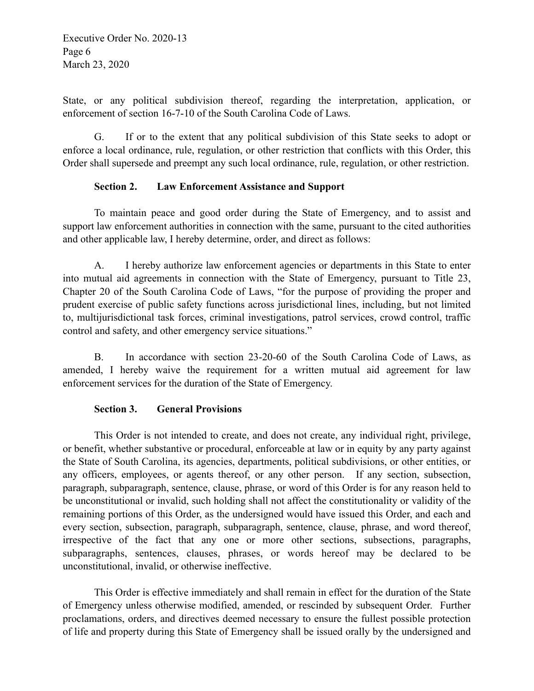Executive Order No. 2020-13 Page 6 March 23, 2020

State, or any political subdivision thereof, regarding the interpretation, application, or enforcement of section 16-7-10 of the South Carolina Code of Laws.

G. If or to the extent that any political subdivision of this State seeks to adopt or enforce a local ordinance, rule, regulation, or other restriction that conflicts with this Order, this Order shall supersede and preempt any such local ordinance, rule, regulation, or other restriction.

### **Section 2. Law Enforcement Assistance and Support**

To maintain peace and good order during the State of Emergency, and to assist and support law enforcement authorities in connection with the same, pursuant to the cited authorities and other applicable law, I hereby determine, order, and direct as follows:

A. I hereby authorize law enforcement agencies or departments in this State to enter into mutual aid agreements in connection with the State of Emergency, pursuant to Title 23, Chapter 20 of the South Carolina Code of Laws, "for the purpose of providing the proper and prudent exercise of public safety functions across jurisdictional lines, including, but not limited to, multijurisdictional task forces, criminal investigations, patrol services, crowd control, traffic control and safety, and other emergency service situations."

B. In accordance with section 23-20-60 of the South Carolina Code of Laws, as amended, I hereby waive the requirement for a written mutual aid agreement for law enforcement services for the duration of the State of Emergency.

### **Section 3. General Provisions**

This Order is not intended to create, and does not create, any individual right, privilege, or benefit, whether substantive or procedural, enforceable at law or in equity by any party against the State of South Carolina, its agencies, departments, political subdivisions, or other entities, or any officers, employees, or agents thereof, or any other person. If any section, subsection, paragraph, subparagraph, sentence, clause, phrase, or word of this Order is for any reason held to be unconstitutional or invalid, such holding shall not affect the constitutionality or validity of the remaining portions of this Order, as the undersigned would have issued this Order, and each and every section, subsection, paragraph, subparagraph, sentence, clause, phrase, and word thereof, irrespective of the fact that any one or more other sections, subsections, paragraphs, subparagraphs, sentences, clauses, phrases, or words hereof may be declared to be unconstitutional, invalid, or otherwise ineffective.

This Order is effective immediately and shall remain in effect for the duration of the State of Emergency unless otherwise modified, amended, or rescinded by subsequent Order. Further proclamations, orders, and directives deemed necessary to ensure the fullest possible protection of life and property during this State of Emergency shall be issued orally by the undersigned and